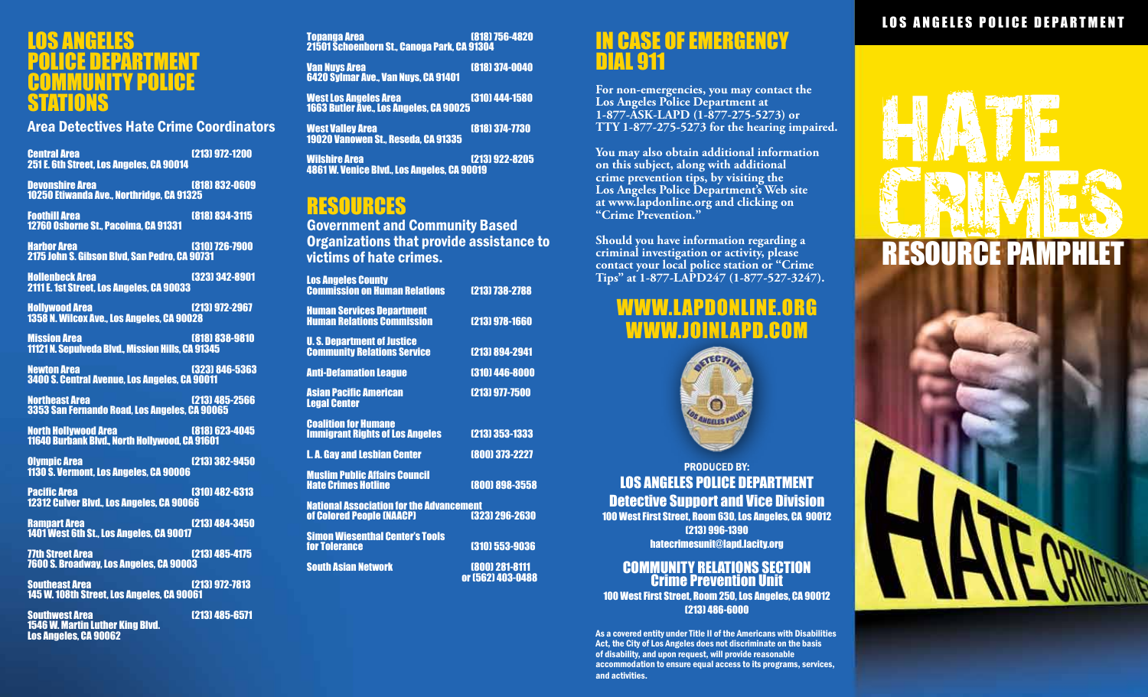#### LOS ANGELES POLICE DEPARTMENT **COMMUNITY POLICE** STATIONS

Area Detectives Hate Crime Coordinators

Central Area (213) 972-1200 251 E. 6th Street, Los Angeles, CA 90014

Devonshire Area (818) 832-0609 10250 Etiwanda Ave., Northridge, CA 91325

Foothill Area (818) 834-3115 12760 Osborne St., Pacoima, CA 91331

Harbor Area (310) 726-7900 2175 John S. Gibson Blvd, San Pedro, CA 90731

Hollenbeck Area (323) 342-8901 2111 E. 1st Street, Los Angeles, CA 90033

Hollywood Area (213) 972-2967 1358 N. Wilcox Ave., Los Angeles, CA 90028

Mission Area (818) 838-9810 11121 N. Sepulveda Blvd., Mission Hills, CA 91345

Newton Area (323) 846-5363 3400 S. Central Avenue, Los Angeles, CA 90011

**Northeast Area** (213) 485-2566 3353 San Fernando Road, Los Angeles, CA 90065

North Hollywood Area (818) 623-4045 11640 Burbank Blvd., North Hollywood, CA 91601

Olympic Area (213) 382-9450 1130 S. Vermont, Los Angeles, CA 90006

**Pacific Area** (310) 482-6313 12312 Culver Blvd., Los Angeles, CA 90066

Rampart Area (213) 484-3450 1401 West 6th St., Los Angeles, CA 90017

**77th Street Area** (213) 485-4175 7600 S. Broadway, Los Angeles, CA 90003

Southeast Area (213) 972-7813 145 W. 108th Street, Los Angeles, CA 90061

Southwest Area (213) 485-6571 1546 W. Martin Luther King Blvd. Los Angeles, CA 90062

Topanga Area (818) 756-4820 21501 Schoenborn St., Canoga Park, CA 91304 Van Nuys Area (818) 374-0040 6420 Sylmar Ave., Van Nuys, CA 91401 West Los Angeles Area (310) 444-1580 1663 Butler Ave., Los Angeles, CA 90025 West Valley Area (818) 374-7730 19020 Vanowen St., Reseda, CA 91335 Wilshire Area (213) 922-8205

4861 W. Venice Blvd., Los Angeles, CA 90019

### RESOURCES

Government and Community Based Organizations that provide assistance to victims of hate crimes.

| <b>Los Angeles County</b><br><b>Commission on Human Relations</b>                              | [213] 738-2788 |
|------------------------------------------------------------------------------------------------|----------------|
| <b>Human Services Department</b><br><b>Human Relations Commission</b>                          | [213] 978-1660 |
| <b>U.S. Department of Justice</b><br><b>Community Relations Service</b>                        | [213] 894-2941 |
| <b>Anti-Defamation League</b>                                                                  | (310) 446-8000 |
| <b>Asian Pacific American</b><br><b>Legal Center</b>                                           | [213] 977-7500 |
| <b>Coalition for Humane</b><br><b>Immigrant Rights of Los Angeles</b>                          | [213] 353-1333 |
| <b>L.A. Gay and Lesbian Center</b>                                                             | [800] 373-2227 |
| <b>Muslim Public Affairs Council</b><br><b>Hate Crimes Hotline</b>                             | (800) 898-3558 |
| <b>National Association for the Advancement</b><br>of Colored People (NAACP)<br>[323] 296-2630 |                |
| <b>Simon Wiesenthal Center's Tools</b><br><b>for Tolerance</b>                                 | [310] 553-9036 |

South Asian Network (800) 281-8111 or (562) 403-0488

#### In Case of Emergency Dial 911

**For non-emergencies, you may contact the Los Angeles Police Department at 1-877-ASK-LAPD (1-877-275-5273) or TTY 1-877-275-5273 for the hearing impaired.** 

**You may also obtain additional information on this subject, along with additional crime prevention tips, by visiting the Los Angeles Police Department's Web site at www.lapdonline.org and clicking on "Crime Prevention."**

**Should you have information regarding a criminal investigation or activity, please contact your local police station or "Crime Tips" at 1-877-LAPD247 (1-877-527-3247).**

### WWW.LAPDONLINE.ORG WWW.JOINLAPD.COM



PRODUCED BY: LOS ANGELES POLICE DEPARTMENT Detective Support and Vice Division 100 West First Street, Room 630, Los Angeles, CA 90012 (213) 996-1390 hatecrimesunit@lapd.lacity.org

#### COMMUNITY RELATIONS SECTION Crime Prevention Unit 100 West First Street, Room 250, Los Angeles, CA 90012 (213) 486-6000

As a covered entity under Title II of the Americans with Disabilities Act, the City of Los Angeles does not discriminate on the basis of disability, and upon request, will provide reasonable accommodation to ensure equal access to its programs, services, and activities.

#### LOS ANGELES POLICE DEPARTMENT